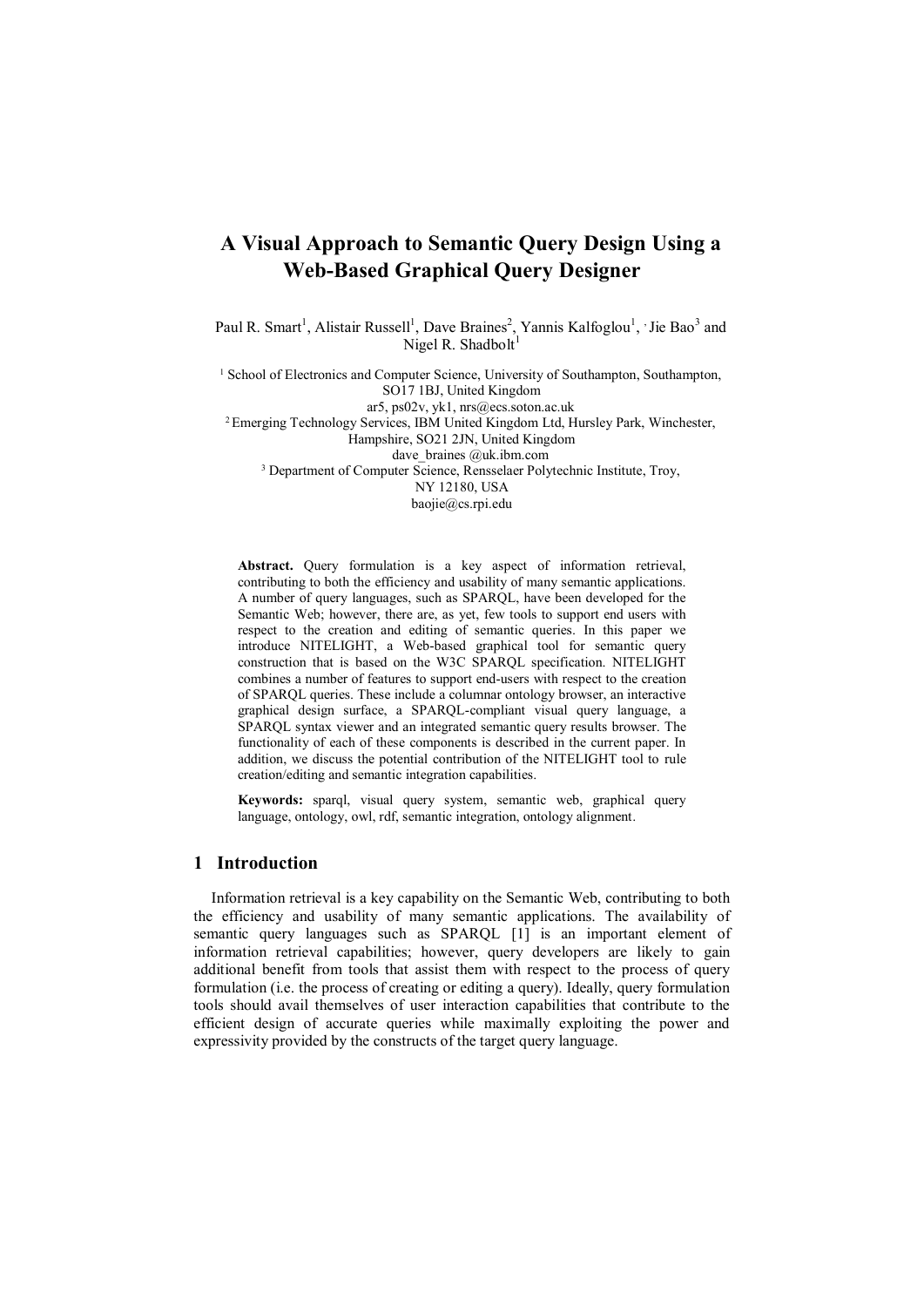# **A Visual Approach to Semantic Query Design Using a Web-Based Graphical Query Designer**

Paul R. Smart<sup>1</sup>, Alistair Russell<sup>1</sup>, Dave Braines<sup>2</sup>, Yannis Kalfoglou<sup>1</sup>, 'Jie Bao<sup>3</sup> and Nigel R. Shadbolt

<sup>1</sup> School of Electronics and Computer Science, University of Southampton, Southampton, SO17 1BJ, United Kingdom ar5, ps02v, yk1, nrs@ecs.soton.ac.uk <sup>2</sup> Emerging Technology Services, IBM United Kingdom Ltd, Hursley Park, Winchester, Hampshire, SO21 2JN, United Kingdom dave braines @uk.ibm.com <sup>3</sup> Department of Computer Science, Rensselaer Polytechnic Institute, Troy, NY 12180, USA baojie@cs.rpi.edu

**Abstract.** Query formulation is a key aspect of information retrieval, contributing to both the efficiency and usability of many semantic applications. A number of query languages, such as SPARQL, have been developed for the Semantic Web; however, there are, as yet, few tools to support end users with respect to the creation and editing of semantic queries. In this paper we introduce NITELIGHT, a Web-based graphical tool for semantic query construction that is based on the W3C SPARQL specification. NITELIGHT combines a number of features to support end-users with respect to the creation of SPARQL queries. These include a columnar ontology browser, an interactive graphical design surface, a SPARQL-compliant visual query language, a SPARQL syntax viewer and an integrated semantic query results browser. The functionality of each of these components is described in the current paper. In addition, we discuss the potential contribution of the NITELIGHT tool to rule creation/editing and semantic integration capabilities.

**Keywords:** sparql, visual query system, semantic web, graphical query language, ontology, owl, rdf, semantic integration, ontology alignment.

# **1 Introduction**

Information retrieval is a key capability on the Semantic Web, contributing to both the efficiency and usability of many semantic applications. The availability of semantic query languages such as SPARQL [1] is an important element of information retrieval capabilities; however, query developers are likely to gain additional benefit from tools that assist them with respect to the process of query formulation (i.e. the process of creating or editing a query). Ideally, query formulation tools should avail themselves of user interaction capabilities that contribute to the efficient design of accurate queries while maximally exploiting the power and expressivity provided by the constructs of the target query language.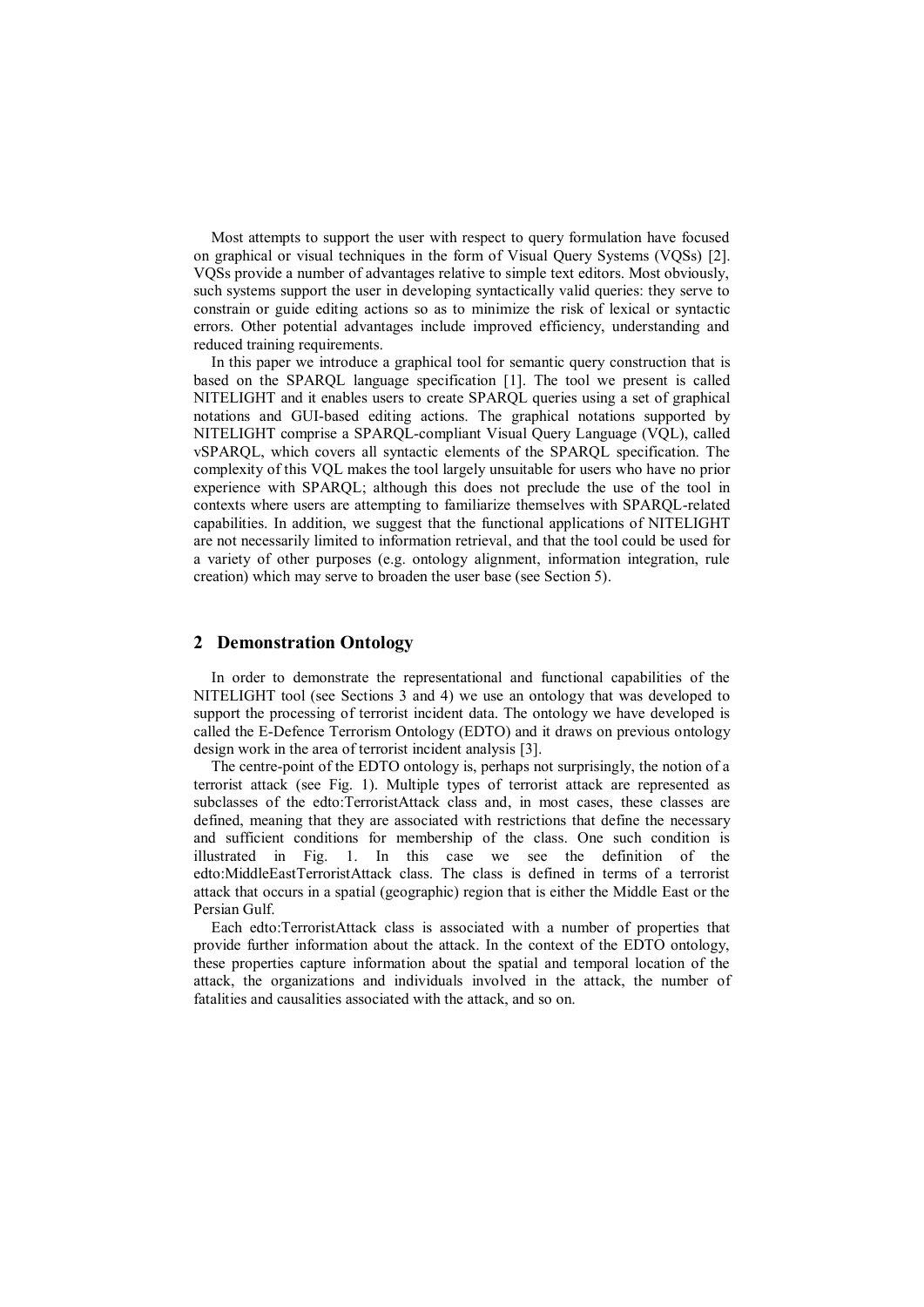Most attempts to support the user with respect to query formulation have focused on graphical or visual techniques in the form of Visual Query Systems (VQSs) [2]. VQSs provide a number of advantages relative to simple text editors. Most obviously, such systems support the user in developing syntactically valid queries: they serve to constrain or guide editing actions so as to minimize the risk of lexical or syntactic errors. Other potential advantages include improved efficiency, understanding and reduced training requirements.

In this paper we introduce a graphical tool for semantic query construction that is based on the SPARQL language specification [1]. The tool we present is called NITELIGHT and it enables users to create SPARQL queries using a set of graphical notations and GUI-based editing actions. The graphical notations supported by NITELIGHT comprise a SPARQL-compliant Visual Query Language (VQL), called vSPARQL, which covers all syntactic elements of the SPARQL specification. The complexity of this VQL makes the tool largely unsuitable for users who have no prior experience with SPARQL; although this does not preclude the use of the tool in contexts where users are attempting to familiarize themselves with SPARQL-related capabilities. In addition, we suggest that the functional applications of NITELIGHT are not necessarily limited to information retrieval, and that the tool could be used for a variety of other purposes (e.g. ontology alignment, information integration, rule creation) which may serve to broaden the user base (see Section 5).

# **2 Demonstration Ontology**

In order to demonstrate the representational and functional capabilities of the NITELIGHT tool (see Sections 3 and 4) we use an ontology that was developed to support the processing of terrorist incident data. The ontology we have developed is called the E-Defence Terrorism Ontology (EDTO) and it draws on previous ontology design work in the area of terrorist incident analysis [3].

The centre-point of the EDTO ontology is, perhaps not surprisingly, the notion of a terrorist attack (see [Fig. 1\)](#page-2-0). Multiple types of terrorist attack are represented as subclasses of the edto:TerroristAttack class and, in most cases, these classes are defined, meaning that they are associated with restrictions that define the necessary and sufficient conditions for membership of the class. One such condition is illustrated in [Fig. 1.](#page-2-0) In this case we see the definition of the edto:MiddleEastTerroristAttack class. The class is defined in terms of a terrorist attack that occurs in a spatial (geographic) region that is either the Middle East or the Persian Gulf.

Each edto:TerroristAttack class is associated with a number of properties that provide further information about the attack. In the context of the EDTO ontology, these properties capture information about the spatial and temporal location of the attack, the organizations and individuals involved in the attack, the number of fatalities and causalities associated with the attack, and so on.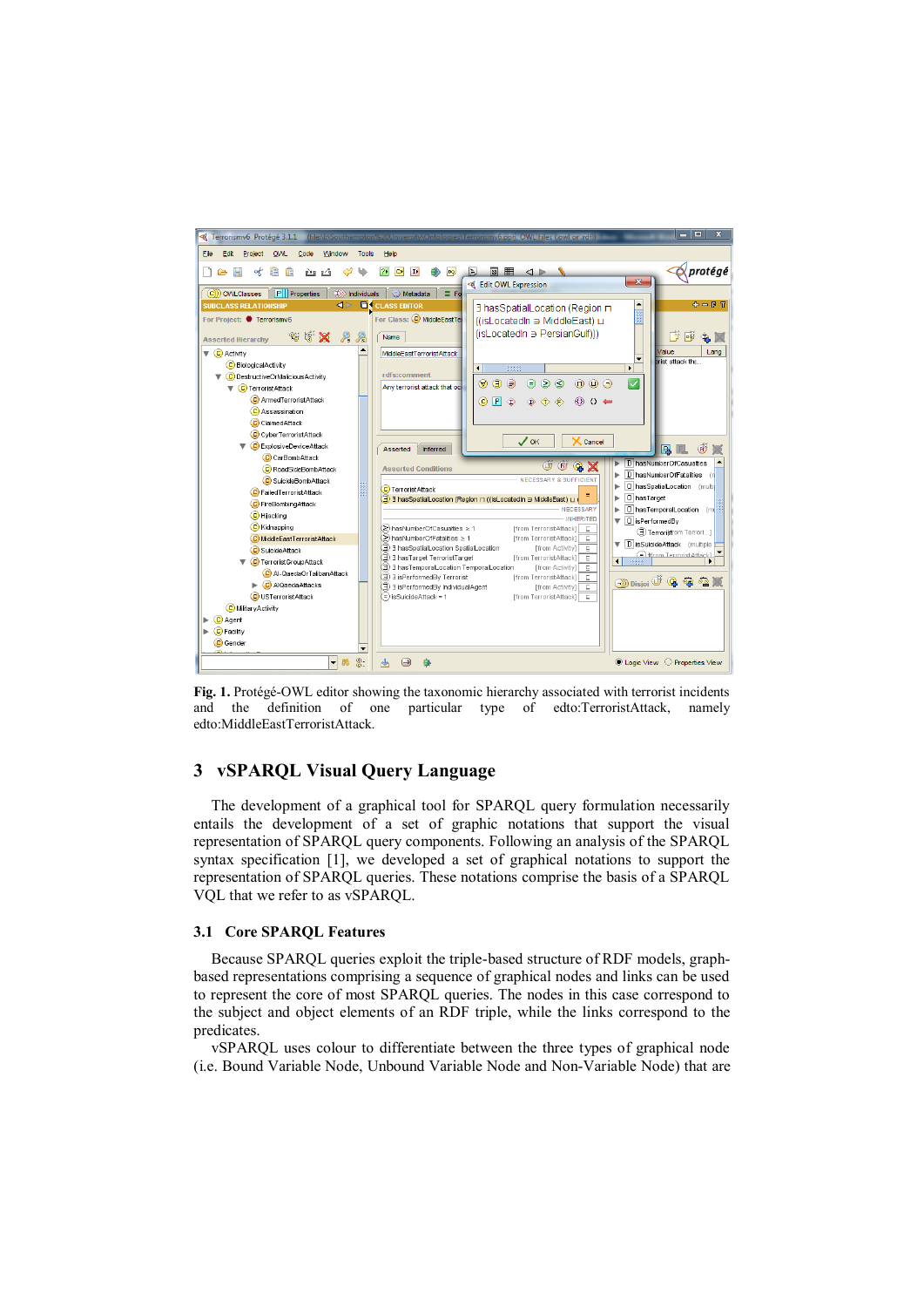

<span id="page-2-0"></span>**Fig. 1.** Protégé-OWL editor showing the taxonomic hierarchy associated with terrorist incidents and the definition of one particular type of edto:TerroristAttack, namely edto:MiddleEastTerroristAttack.

# **3 vSPARQL Visual Query Language**

The development of a graphical tool for SPARQL query formulation necessarily entails the development of a set of graphic notations that support the visual representation of SPARQL query components. Following an analysis of the SPARQL syntax specification [1], we developed a set of graphical notations to support the representation of SPARQL queries. These notations comprise the basis of a SPARQL VQL that we refer to as vSPARQL.

#### **3.1 Core SPARQL Features**

Because SPARQL queries exploit the triple-based structure of RDF models, graphbased representations comprising a sequence of graphical nodes and links can be used to represent the core of most SPARQL queries. The nodes in this case correspond to the subject and object elements of an RDF triple, while the links correspond to the predicates.

vSPARQL uses colour to differentiate between the three types of graphical node (i.e. Bound Variable Node, Unbound Variable Node and Non-Variable Node) that are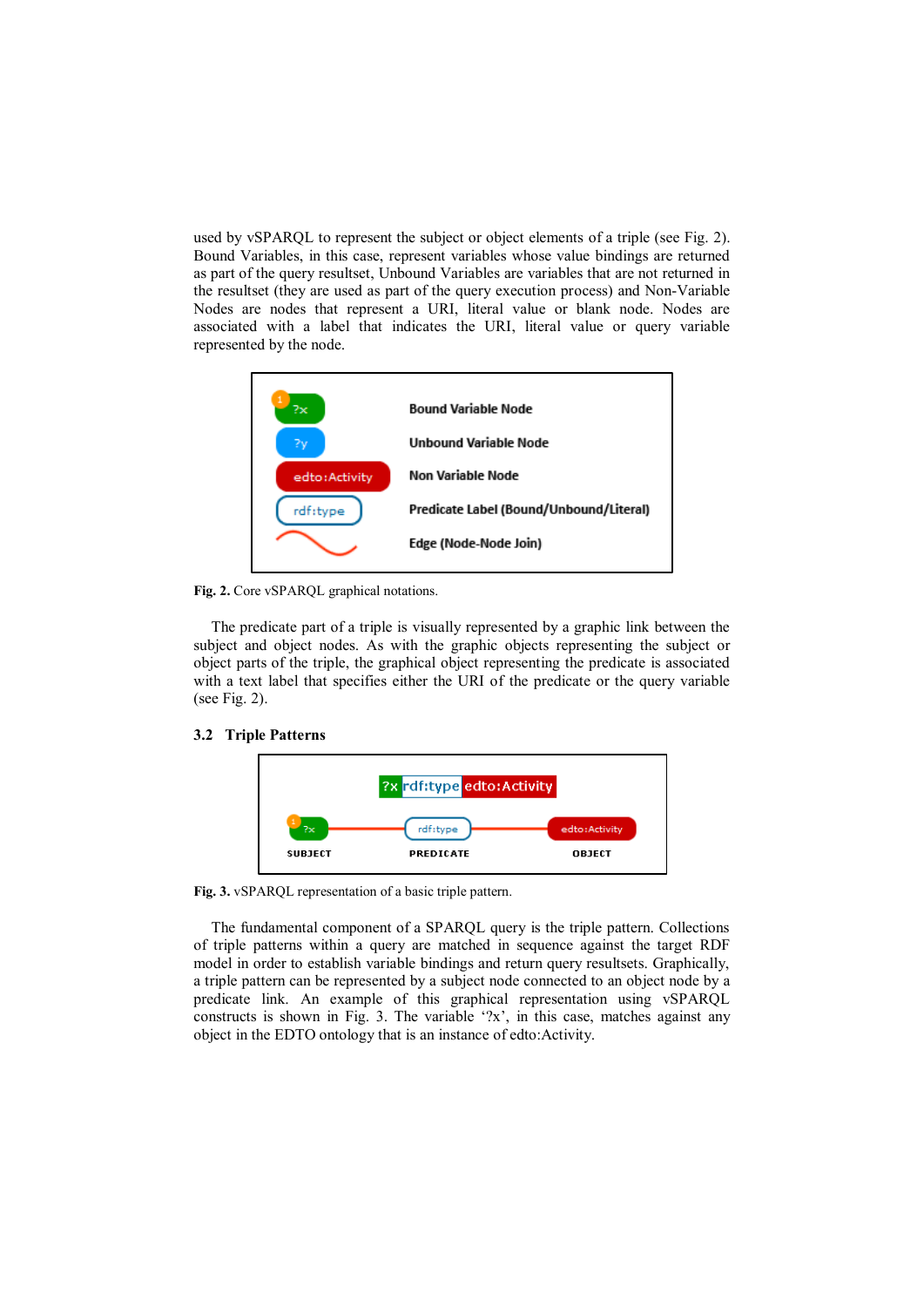used by vSPARQL to represent the subject or object elements of a triple (see [Fig. 2\)](#page-3-0). Bound Variables, in this case, represent variables whose value bindings are returned as part of the query resultset, Unbound Variables are variables that are not returned in the resultset (they are used as part of the query execution process) and Non-Variable Nodes are nodes that represent a URI, literal value or blank node. Nodes are associated with a label that indicates the URI, literal value or query variable represented by the node.



<span id="page-3-0"></span>**Fig. 2.** Core vSPARQL graphical notations.

The predicate part of a triple is visually represented by a graphic link between the subject and object nodes. As with the graphic objects representing the subject or object parts of the triple, the graphical object representing the predicate is associated with a text label that specifies either the URI of the predicate or the query variable (see [Fig. 2\)](#page-3-0).

#### **3.2 Triple Patterns**



<span id="page-3-1"></span>**Fig. 3.** vSPARQL representation of a basic triple pattern.

The fundamental component of a SPARQL query is the triple pattern. Collections of triple patterns within a query are matched in sequence against the target RDF model in order to establish variable bindings and return query resultsets. Graphically, a triple pattern can be represented by a subject node connected to an object node by a predicate link. An example of this graphical representation using vSPARQL constructs is shown in [Fig. 3.](#page-3-1) The variable '?x', in this case, matches against any object in the EDTO ontology that is an instance of edto:Activity.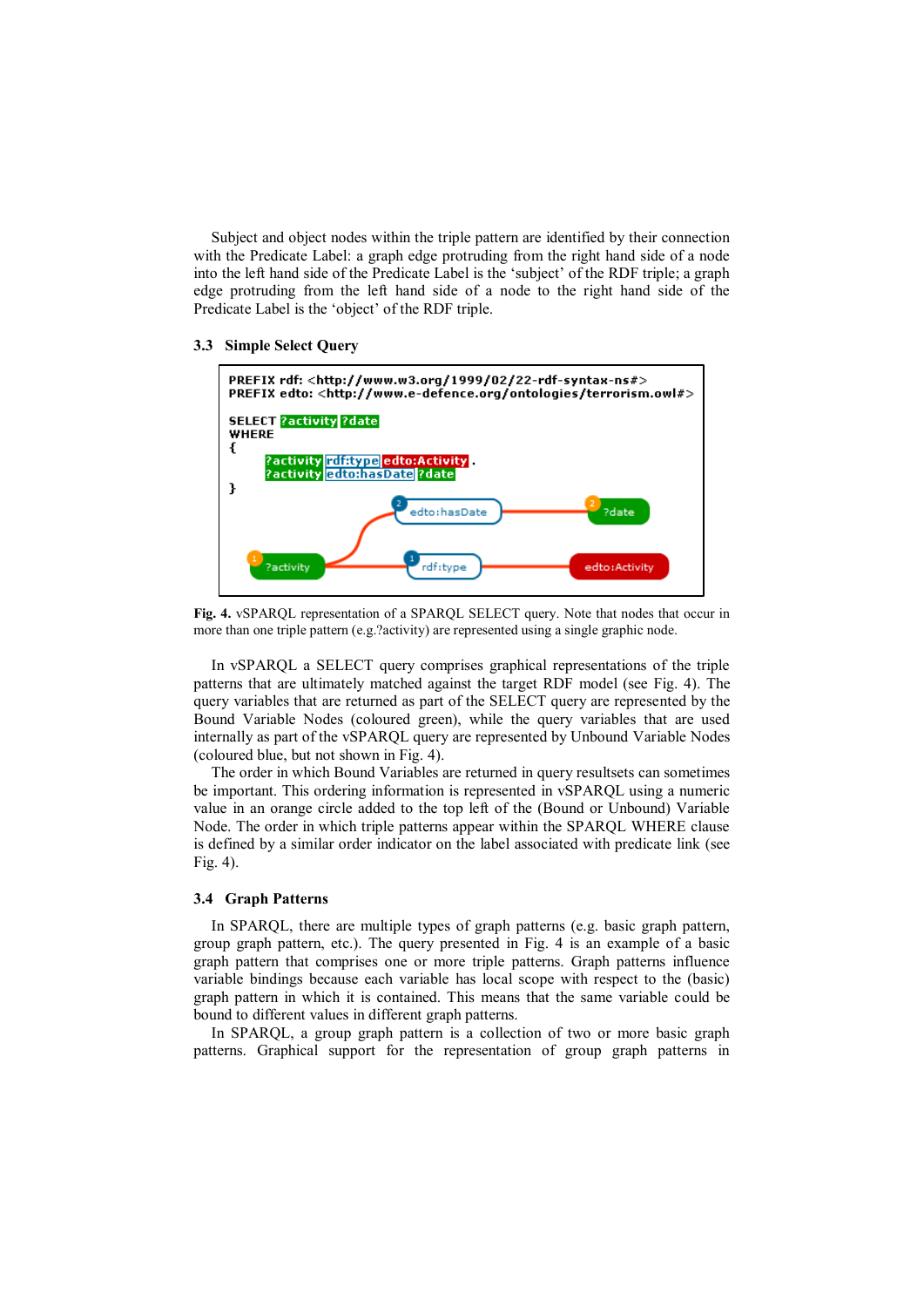Subject and object nodes within the triple pattern are identified by their connection with the Predicate Label: a graph edge protruding from the right hand side of a node into the left hand side of the Predicate Label is the "subject" of the RDF triple; a graph edge protruding from the left hand side of a node to the right hand side of the Predicate Label is the "object" of the RDF triple.

#### **3.3 Simple Select Query**



<span id="page-4-0"></span>**Fig. 4.** vSPARQL representation of a SPARQL SELECT query. Note that nodes that occur in more than one triple pattern (e.g.?activity) are represented using a single graphic node.

In vSPARQL a SELECT query comprises graphical representations of the triple patterns that are ultimately matched against the target RDF model (see [Fig. 4\)](#page-4-0). The query variables that are returned as part of the SELECT query are represented by the Bound Variable Nodes (coloured green), while the query variables that are used internally as part of the vSPARQL query are represented by Unbound Variable Nodes (coloured blue, but not shown in [Fig. 4\)](#page-4-0).

The order in which Bound Variables are returned in query resultsets can sometimes be important. This ordering information is represented in vSPARQL using a numeric value in an orange circle added to the top left of the (Bound or Unbound) Variable Node. The order in which triple patterns appear within the SPARQL WHERE clause is defined by a similar order indicator on the label associated with predicate link (see [Fig. 4\)](#page-4-0).

#### **3.4 Graph Patterns**

In SPARQL, there are multiple types of graph patterns (e.g. basic graph pattern, group graph pattern, etc.). The query presented in [Fig. 4](#page-4-0) is an example of a basic graph pattern that comprises one or more triple patterns. Graph patterns influence variable bindings because each variable has local scope with respect to the (basic) graph pattern in which it is contained. This means that the same variable could be bound to different values in different graph patterns.

In SPARQL, a group graph pattern is a collection of two or more basic graph patterns. Graphical support for the representation of group graph patterns in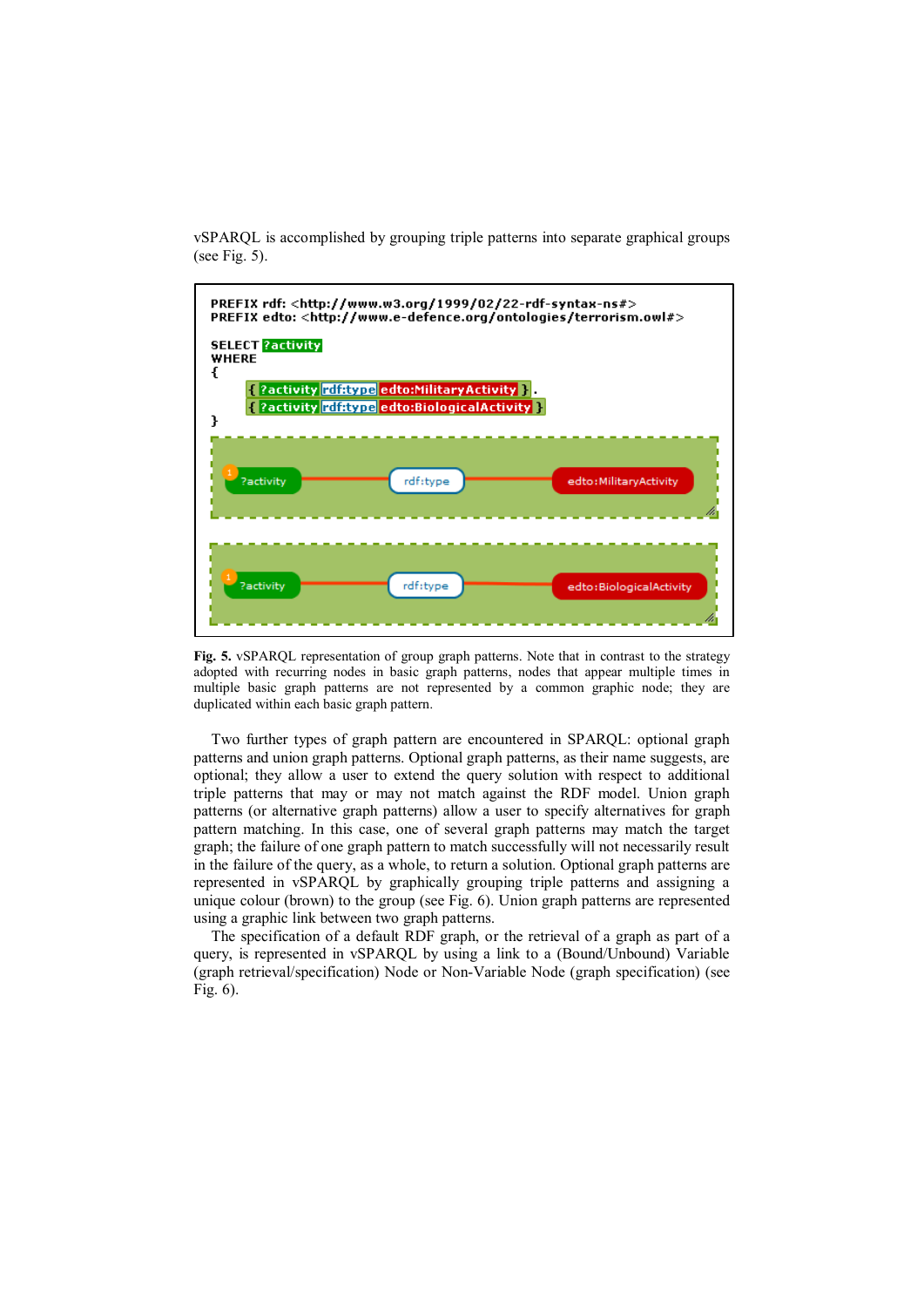vSPARQL is accomplished by grouping triple patterns into separate graphical groups (see [Fig. 5\)](#page-5-0).



<span id="page-5-0"></span>**Fig. 5.** vSPARQL representation of group graph patterns. Note that in contrast to the strategy adopted with recurring nodes in basic graph patterns, nodes that appear multiple times in multiple basic graph patterns are not represented by a common graphic node; they are duplicated within each basic graph pattern.

Two further types of graph pattern are encountered in SPARQL: optional graph patterns and union graph patterns. Optional graph patterns, as their name suggests, are optional; they allow a user to extend the query solution with respect to additional triple patterns that may or may not match against the RDF model. Union graph patterns (or alternative graph patterns) allow a user to specify alternatives for graph pattern matching. In this case, one of several graph patterns may match the target graph; the failure of one graph pattern to match successfully will not necessarily result in the failure of the query, as a whole, to return a solution. Optional graph patterns are represented in vSPARQL by graphically grouping triple patterns and assigning a unique colour (brown) to the group (see [Fig. 6\)](#page-6-0). Union graph patterns are represented using a graphic link between two graph patterns.

The specification of a default RDF graph, or the retrieval of a graph as part of a query, is represented in vSPARQL by using a link to a (Bound/Unbound) Variable (graph retrieval/specification) Node or Non-Variable Node (graph specification) (see [Fig. 6\)](#page-6-0).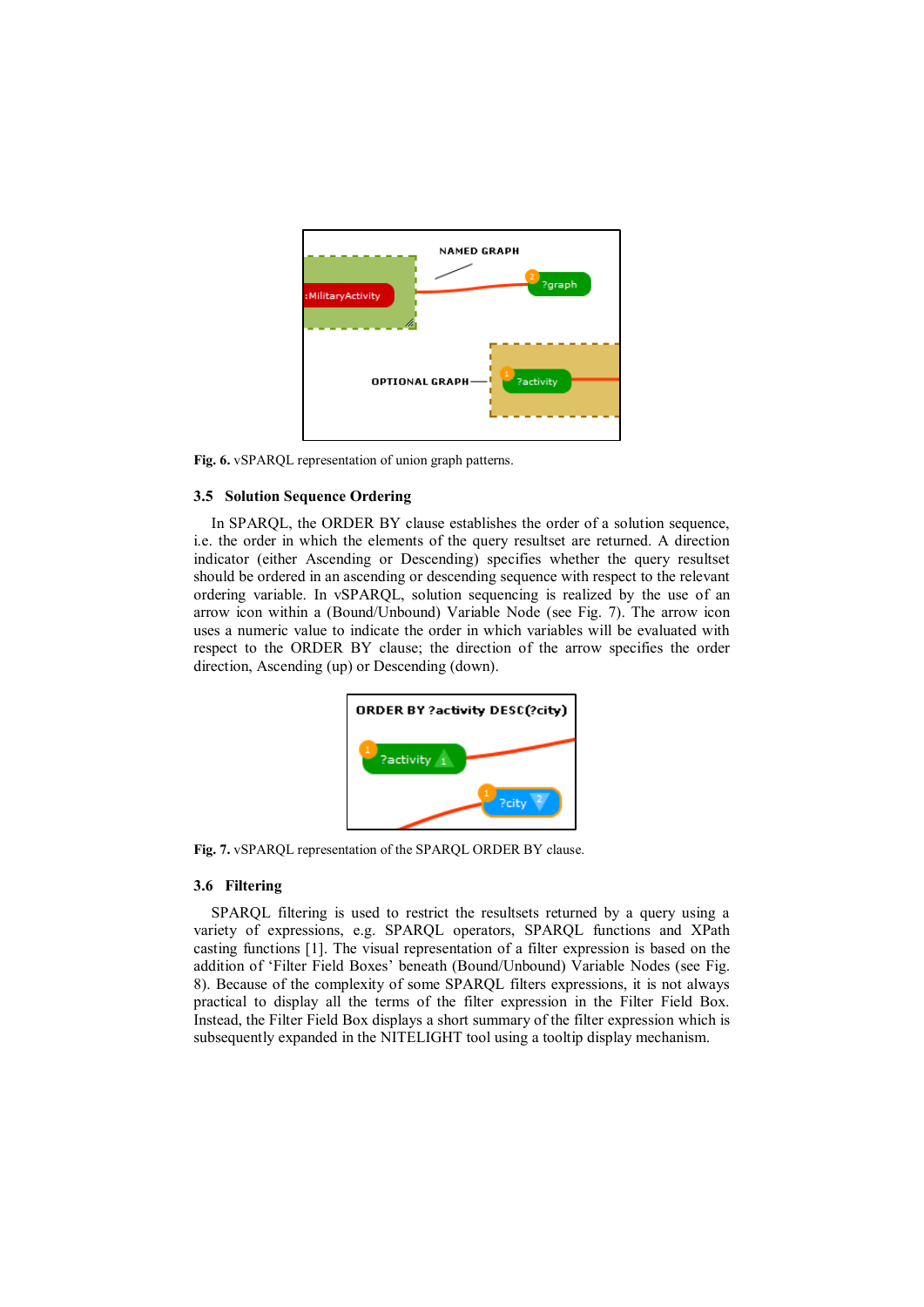

<span id="page-6-0"></span>**Fig. 6.** vSPARQL representation of union graph patterns.

#### **3.5 Solution Sequence Ordering**

In SPARQL, the ORDER BY clause establishes the order of a solution sequence, i.e. the order in which the elements of the query resultset are returned. A direction indicator (either Ascending or Descending) specifies whether the query resultset should be ordered in an ascending or descending sequence with respect to the relevant ordering variable. In vSPARQL, solution sequencing is realized by the use of an arrow icon within a (Bound/Unbound) Variable Node (see [Fig. 7\)](#page-6-1). The arrow icon uses a numeric value to indicate the order in which variables will be evaluated with respect to the ORDER BY clause; the direction of the arrow specifies the order direction, Ascending (up) or Descending (down).



<span id="page-6-1"></span>**Fig. 7.** vSPARQL representation of the SPARQL ORDER BY clause.

### **3.6 Filtering**

SPARQL filtering is used to restrict the resultsets returned by a query using a variety of expressions, e.g. SPARQL operators, SPARQL functions and XPath casting functions [1]. The visual representation of a filter expression is based on the addition of "Filter Field Boxes" beneath (Bound/Unbound) Variable Nodes (see [Fig.](#page-7-0)  [8\)](#page-7-0). Because of the complexity of some SPARQL filters expressions, it is not always practical to display all the terms of the filter expression in the Filter Field Box. Instead, the Filter Field Box displays a short summary of the filter expression which is subsequently expanded in the NITELIGHT tool using a tooltip display mechanism.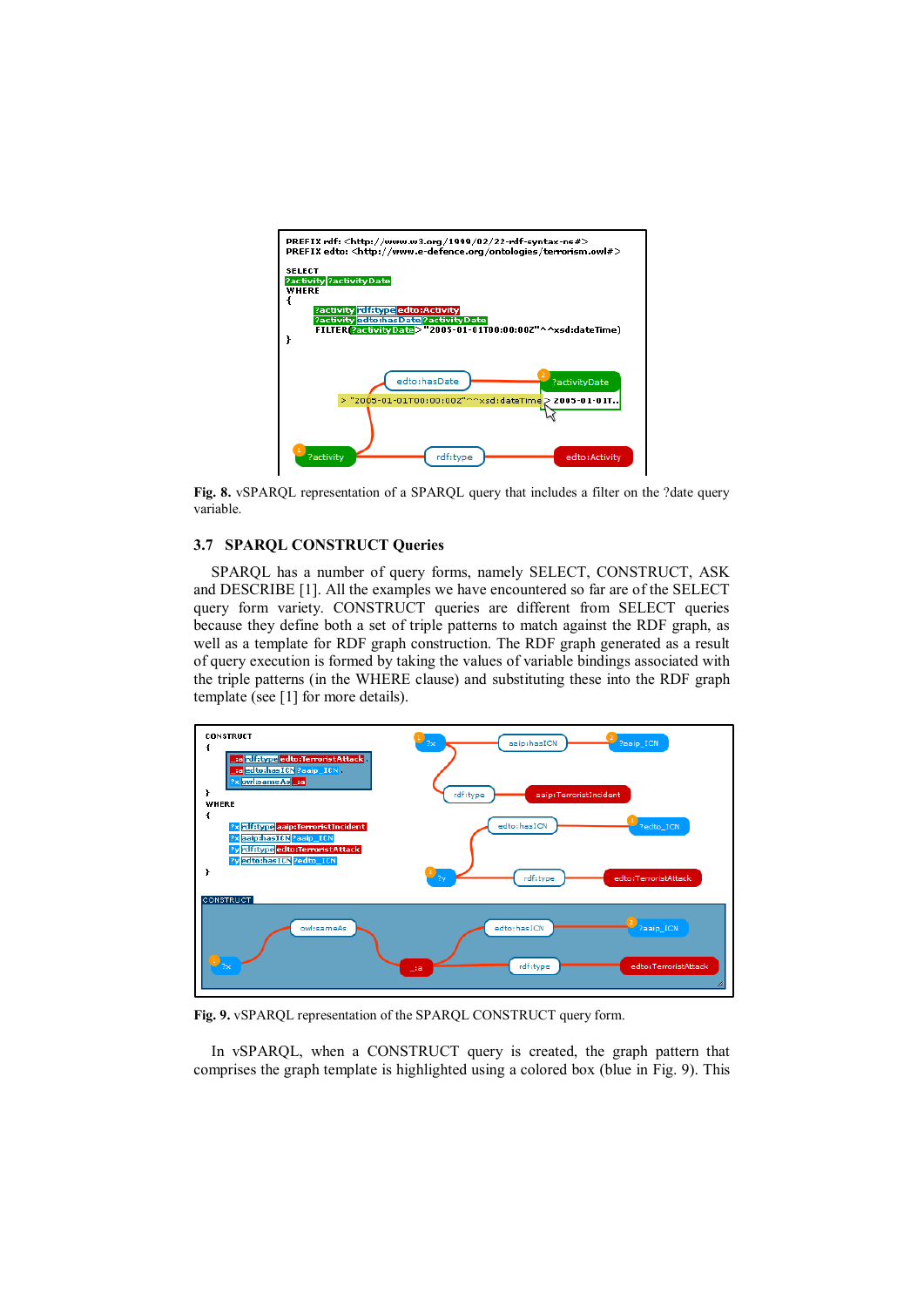

<span id="page-7-0"></span>Fig. 8. vSPARQL representation of a SPARQL query that includes a filter on the ?date query variable.

## **3.7 SPARQL CONSTRUCT Queries**

SPARQL has a number of query forms, namely SELECT, CONSTRUCT, ASK and DESCRIBE [1]. All the examples we have encountered so far are of the SELECT query form variety. CONSTRUCT queries are different from SELECT queries because they define both a set of triple patterns to match against the RDF graph, as well as a template for RDF graph construction. The RDF graph generated as a result of query execution is formed by taking the values of variable bindings associated with the triple patterns (in the WHERE clause) and substituting these into the RDF graph template (see [1] for more details).



<span id="page-7-1"></span>**Fig. 9.** vSPARQL representation of the SPARQL CONSTRUCT query form.

In vSPARQL, when a CONSTRUCT query is created, the graph pattern that comprises the graph template is highlighted using a colored box (blue in [Fig. 9\)](#page-7-1). This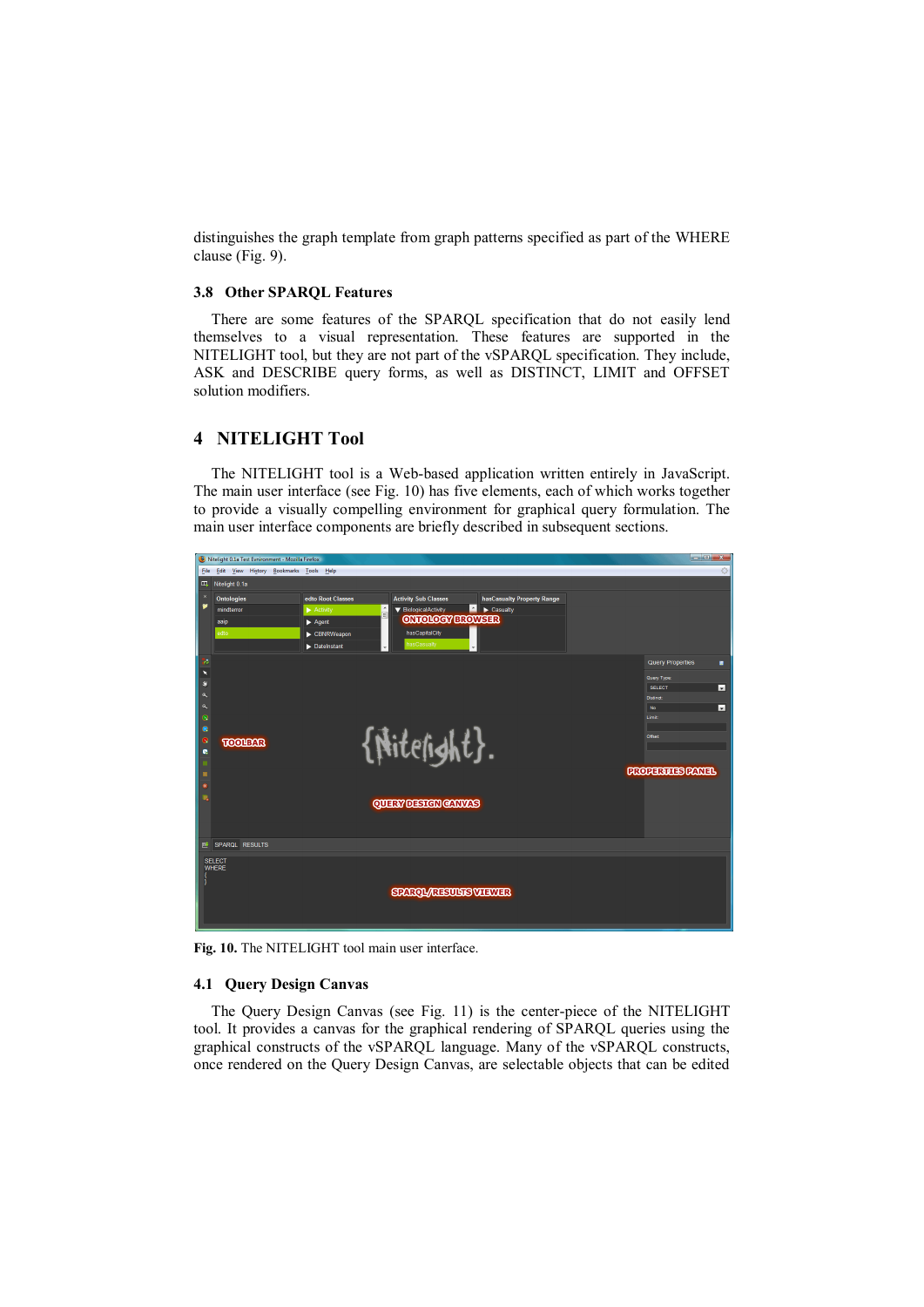distinguishes the graph template from graph patterns specified as part of the WHERE clause [\(Fig. 9\)](#page-7-1).

### **3.8 Other SPARQL Features**

There are some features of the SPARQL specification that do not easily lend themselves to a visual representation. These features are supported in the NITELIGHT tool, but they are not part of the vSPARQL specification. They include, ASK and DESCRIBE query forms, as well as DISTINCT, LIMIT and OFFSET solution modifiers.

# **4 NITELIGHT Tool**

The NITELIGHT tool is a Web-based application written entirely in JavaScript. The main user interface (see [Fig. 10\)](#page-8-0) has five elements, each of which works together to provide a visually compelling environment for graphical query formulation. The main user interface components are briefly described in subsequent sections.



**Fig. 10.** The NITELIGHT tool main user interface.

#### <span id="page-8-0"></span>**4.1 Query Design Canvas**

The Query Design Canvas (see [Fig. 11\)](#page-9-0) is the center-piece of the NITELIGHT tool. It provides a canvas for the graphical rendering of SPARQL queries using the graphical constructs of the vSPARQL language. Many of the vSPARQL constructs, once rendered on the Query Design Canvas, are selectable objects that can be edited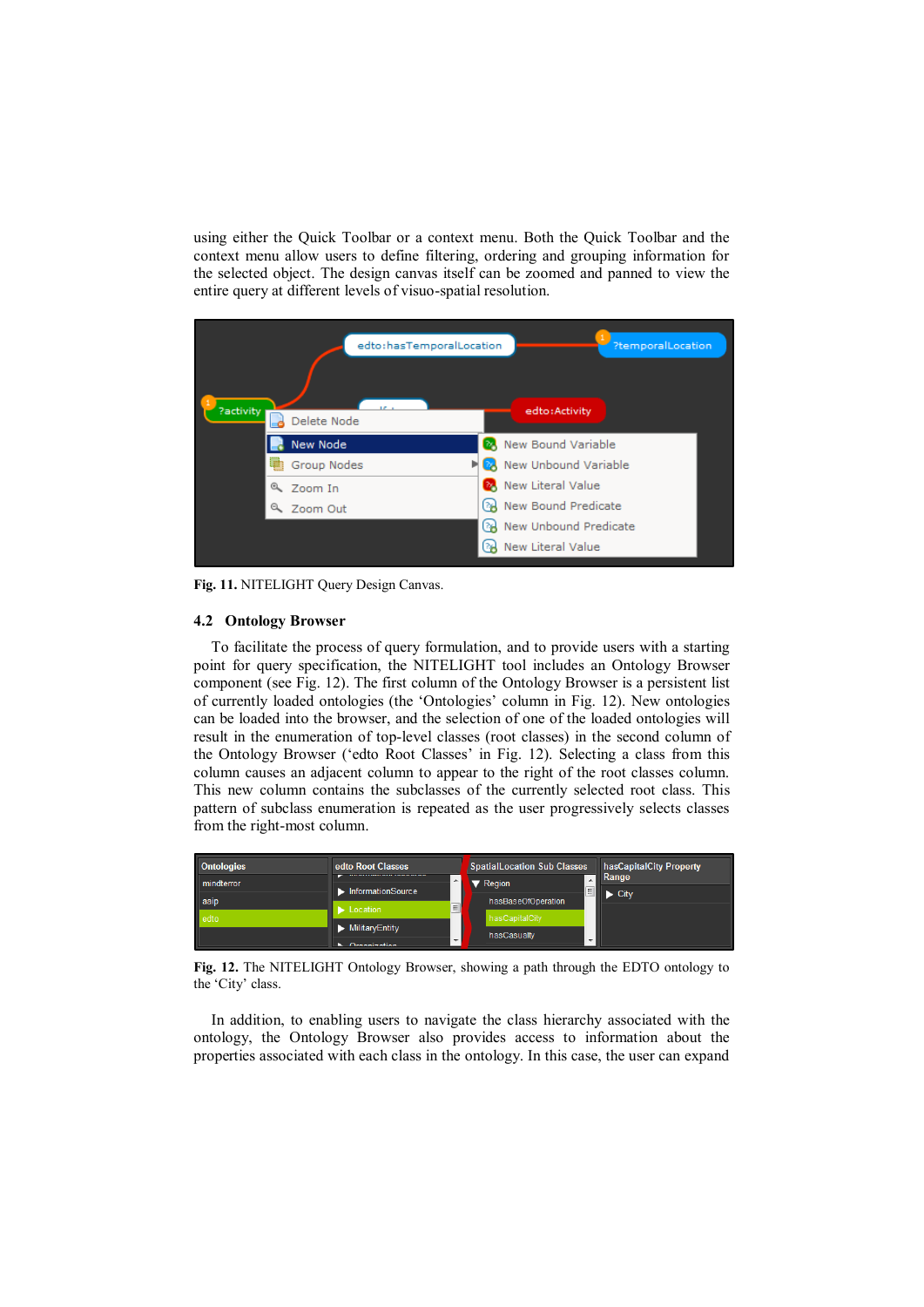using either the Quick Toolbar or a context menu. Both the Quick Toolbar and the context menu allow users to define filtering, ordering and grouping information for the selected object. The design canvas itself can be zoomed and panned to view the entire query at different levels of visuo-spatial resolution.



**Fig. 11.** NITELIGHT Query Design Canvas.

### <span id="page-9-0"></span>**4.2 Ontology Browser**

To facilitate the process of query formulation, and to provide users with a starting point for query specification, the NITELIGHT tool includes an Ontology Browser component (se[e Fig. 12\)](#page-9-1). The first column of the Ontology Browser is a persistent list of currently loaded ontologies (the "Ontologies" column in [Fig. 12\)](#page-9-1). New ontologies can be loaded into the browser, and the selection of one of the loaded ontologies will result in the enumeration of top-level classes (root classes) in the second column of the Ontology Browser ("edto Root Classes" in [Fig. 12\)](#page-9-1). Selecting a class from this column causes an adjacent column to appear to the right of the root classes column. This new column contains the subclasses of the currently selected root class. This pattern of subclass enumeration is repeated as the user progressively selects classes from the right-most column.



<span id="page-9-1"></span>**Fig. 12.** The NITELIGHT Ontology Browser, showing a path through the EDTO ontology to the 'City' class.

In addition, to enabling users to navigate the class hierarchy associated with the ontology, the Ontology Browser also provides access to information about the properties associated with each class in the ontology. In this case, the user can expand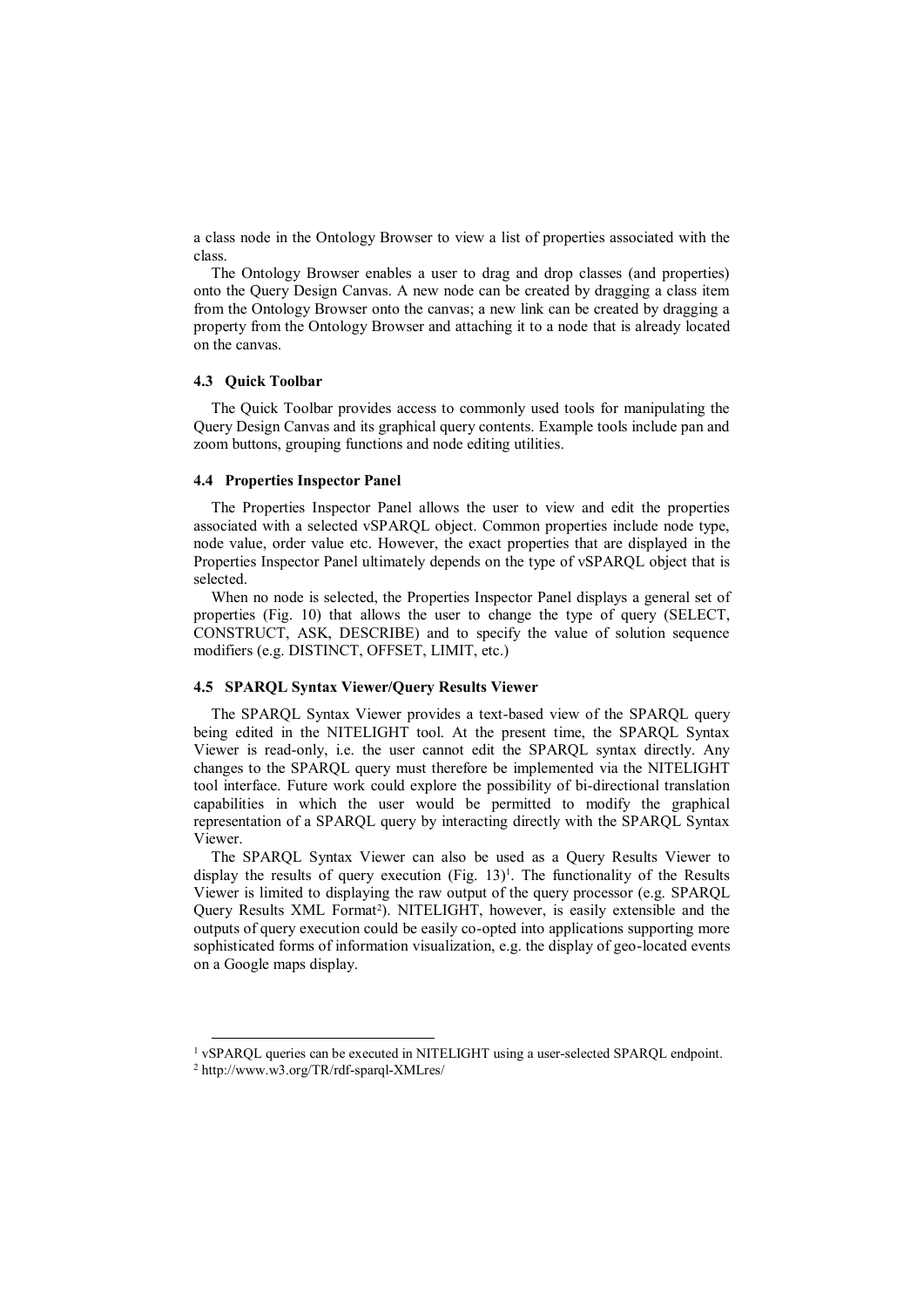a class node in the Ontology Browser to view a list of properties associated with the class.

The Ontology Browser enables a user to drag and drop classes (and properties) onto the Query Design Canvas. A new node can be created by dragging a class item from the Ontology Browser onto the canvas; a new link can be created by dragging a property from the Ontology Browser and attaching it to a node that is already located on the canvas.

# **4.3 Quick Toolbar**

The Quick Toolbar provides access to commonly used tools for manipulating the Query Design Canvas and its graphical query contents. Example tools include pan and zoom buttons, grouping functions and node editing utilities.

#### **4.4 Properties Inspector Panel**

The Properties Inspector Panel allows the user to view and edit the properties associated with a selected vSPARQL object. Common properties include node type, node value, order value etc. However, the exact properties that are displayed in the Properties Inspector Panel ultimately depends on the type of vSPARQL object that is selected.

When no node is selected, the Properties Inspector Panel displays a general set of properties [\(Fig. 10\)](#page-8-0) that allows the user to change the type of query (SELECT, CONSTRUCT, ASK, DESCRIBE) and to specify the value of solution sequence modifiers (e.g. DISTINCT, OFFSET, LIMIT, etc.)

#### **4.5 SPARQL Syntax Viewer/Query Results Viewer**

The SPARQL Syntax Viewer provides a text-based view of the SPARQL query being edited in the NITELIGHT tool. At the present time, the SPARQL Syntax Viewer is read-only, i.e. the user cannot edit the SPARQL syntax directly. Any changes to the SPARQL query must therefore be implemented via the NITELIGHT tool interface. Future work could explore the possibility of bi-directional translation capabilities in which the user would be permitted to modify the graphical representation of a SPARQL query by interacting directly with the SPARQL Syntax Viewer.

The SPARQL Syntax Viewer can also be used as a Query Results Viewer to display the results of query execution [\(Fig. 13\)](#page-11-0)<sup>1</sup>. The functionality of the Results Viewer is limited to displaying the raw output of the query processor (e.g. SPARQL Query Results XML Format<sup>2</sup>). NITELIGHT, however, is easily extensible and the outputs of query execution could be easily co-opted into applications supporting more sophisticated forms of information visualization, e.g. the display of geo-located events on a Google maps display.

 $\overline{a}$ 

<sup>1</sup> vSPARQL queries can be executed in NITELIGHT using a user-selected SPARQL endpoint.

<sup>2</sup> http://www.w3.org/TR/rdf-sparql-XMLres/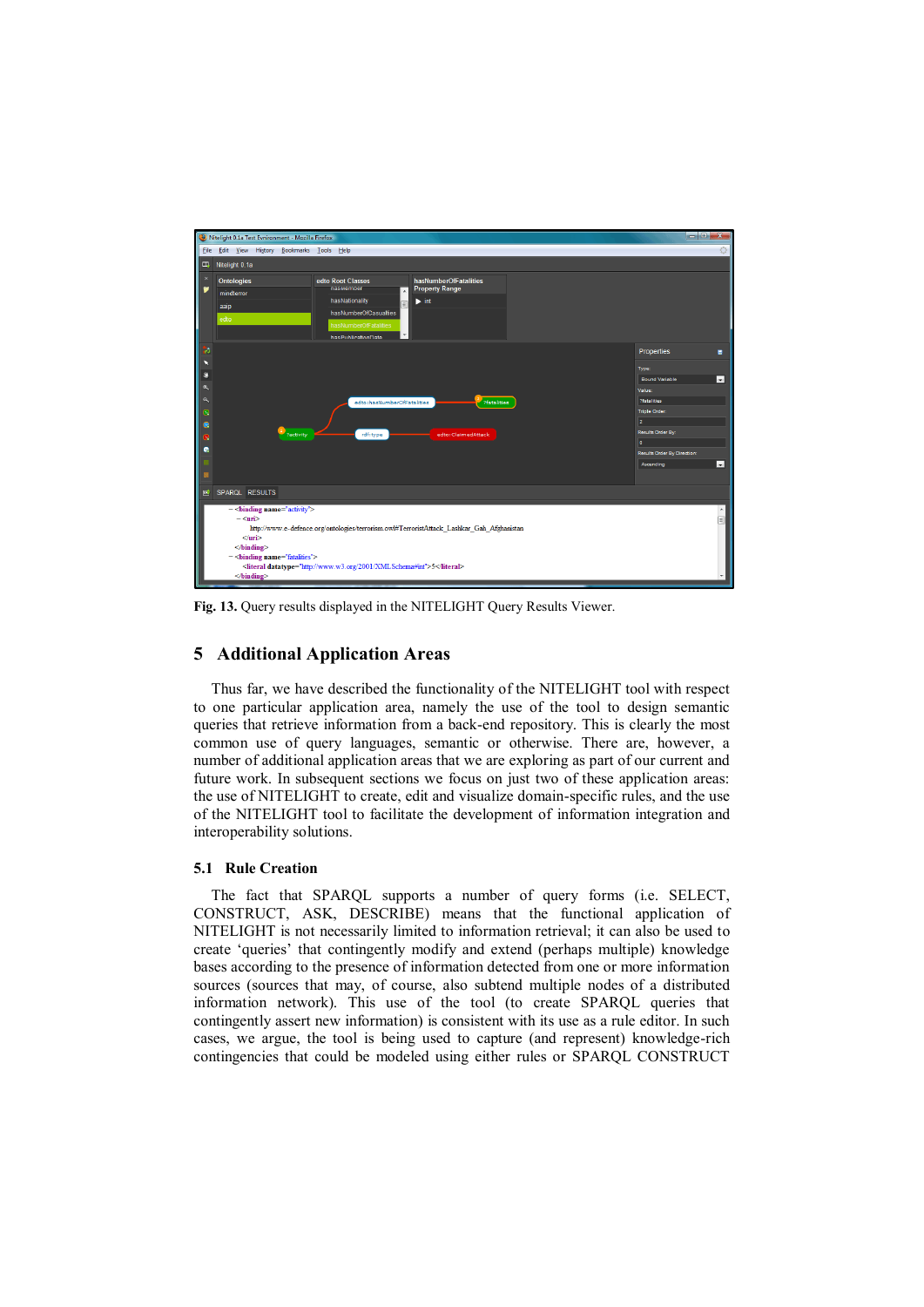

<span id="page-11-0"></span>**Fig. 13.** Query results displayed in the NITELIGHT Query Results Viewer.

# **5 Additional Application Areas**

Thus far, we have described the functionality of the NITELIGHT tool with respect to one particular application area, namely the use of the tool to design semantic queries that retrieve information from a back-end repository. This is clearly the most common use of query languages, semantic or otherwise. There are, however, a number of additional application areas that we are exploring as part of our current and future work. In subsequent sections we focus on just two of these application areas: the use of NITELIGHT to create, edit and visualize domain-specific rules, and the use of the NITELIGHT tool to facilitate the development of information integration and interoperability solutions.

#### **5.1 Rule Creation**

The fact that SPARQL supports a number of query forms (i.e. SELECT, CONSTRUCT, ASK, DESCRIBE) means that the functional application of NITELIGHT is not necessarily limited to information retrieval; it can also be used to create "queries" that contingently modify and extend (perhaps multiple) knowledge bases according to the presence of information detected from one or more information sources (sources that may, of course, also subtend multiple nodes of a distributed information network). This use of the tool (to create SPARQL queries that contingently assert new information) is consistent with its use as a rule editor. In such cases, we argue, the tool is being used to capture (and represent) knowledge-rich contingencies that could be modeled using either rules or SPARQL CONSTRUCT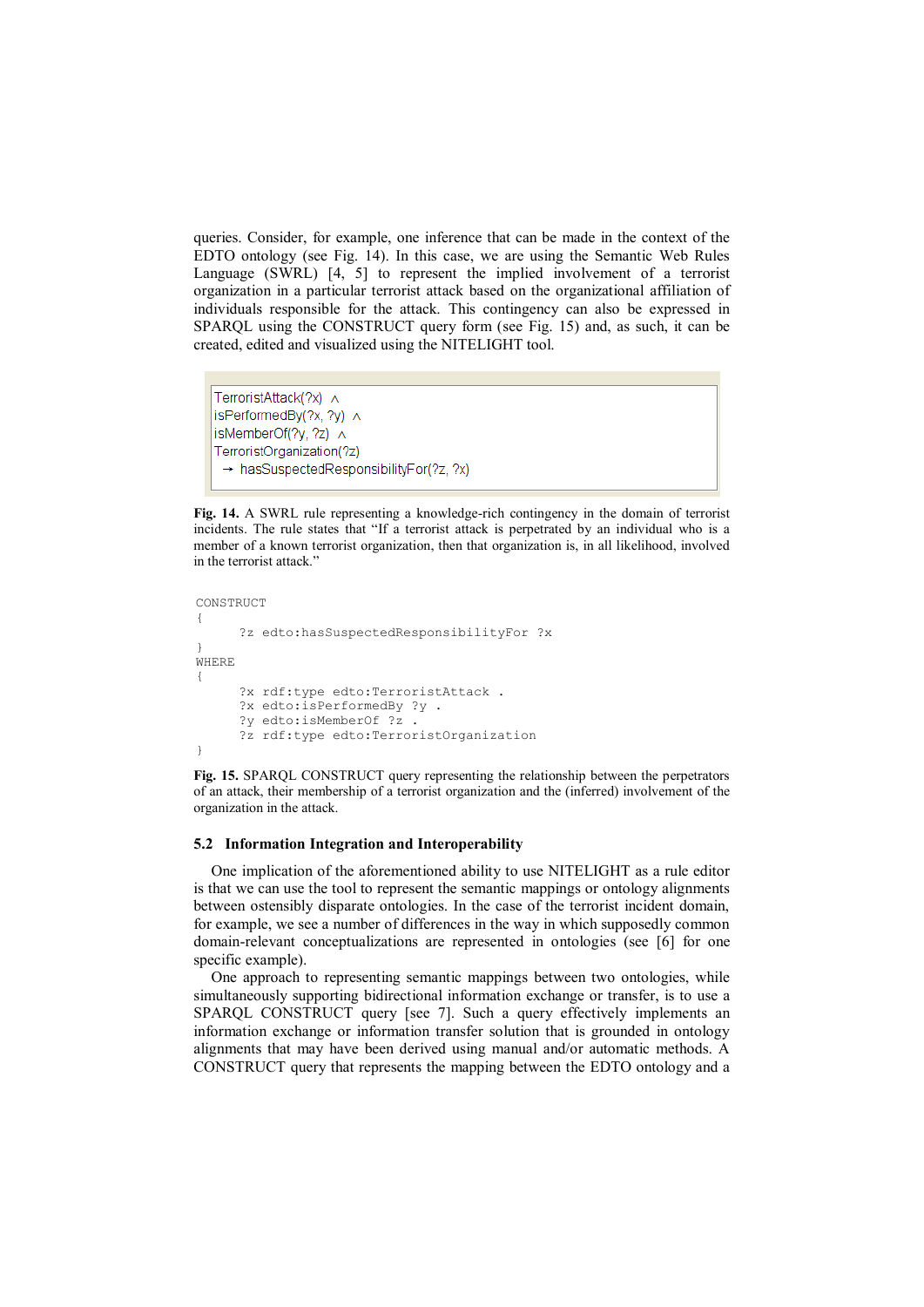queries. Consider, for example, one inference that can be made in the context of the EDTO ontology (see [Fig. 14\)](#page-12-0). In this case, we are using the Semantic Web Rules Language (SWRL) [4, 5] to represent the implied involvement of a terrorist organization in a particular terrorist attack based on the organizational affiliation of individuals responsible for the attack. This contingency can also be expressed in SPARQL using the CONSTRUCT query form (see [Fig. 15\)](#page-12-1) and, as such, it can be created, edited and visualized using the NITELIGHT tool.

```
TerroristAttack(?x) ^
isPerformedBy(?x, ?y) ^
isMemberOf(?y, ?z) ^
TerroristOrganization(?z)
 → hasSuspectedResponsibilityFor(?z, ?x)
```
<span id="page-12-0"></span>**Fig. 14.** A SWRL rule representing a knowledge-rich contingency in the domain of terrorist incidents. The rule states that "If a terrorist attack is perpetrated by an individual who is a member of a known terrorist organization, then that organization is, in all likelihood, involved in the terrorist attack."

```
CONSTRUCT 
{ 
     ?z edto:hasSuspectedResponsibilityFor ?x 
}
WHERE
{
     ?x rdf:type edto:TerroristAttack .
      ?x edto:isPerformedBy ?y .
     ?y edto:isMemberOf ?z .
     ?z rdf:type edto:TerroristOrganization 
}
```
<span id="page-12-1"></span>**Fig. 15.** SPARQL CONSTRUCT query representing the relationship between the perpetrators of an attack, their membership of a terrorist organization and the (inferred) involvement of the organization in the attack.

#### **5.2 Information Integration and Interoperability**

One implication of the aforementioned ability to use NITELIGHT as a rule editor is that we can use the tool to represent the semantic mappings or ontology alignments between ostensibly disparate ontologies. In the case of the terrorist incident domain, for example, we see a number of differences in the way in which supposedly common domain-relevant conceptualizations are represented in ontologies (see [6] for one specific example).

One approach to representing semantic mappings between two ontologies, while simultaneously supporting bidirectional information exchange or transfer, is to use a SPARQL CONSTRUCT query [see 7]. Such a query effectively implements an information exchange or information transfer solution that is grounded in ontology alignments that may have been derived using manual and/or automatic methods. A CONSTRUCT query that represents the mapping between the EDTO ontology and a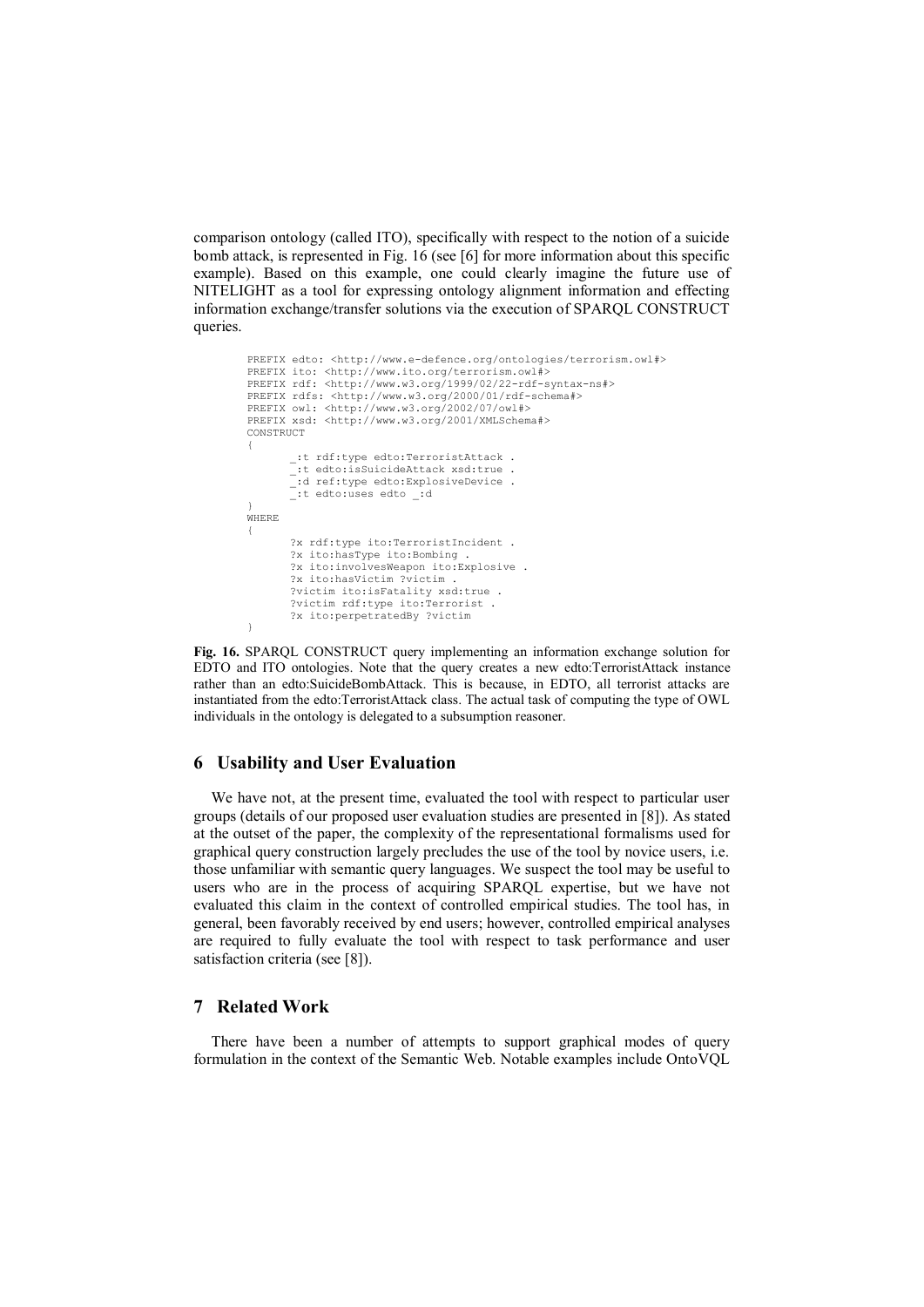comparison ontology (called ITO), specifically with respect to the notion of a suicide bomb attack, is represented in [Fig. 16](#page-13-0) (see [6] for more information about this specific example). Based on this example, one could clearly imagine the future use of NITELIGHT as a tool for expressing ontology alignment information and effecting information exchange/transfer solutions via the execution of SPARQL CONSTRUCT queries.

```
PREFIX edto: <http://www.e-defence.org/ontologies/terrorism.owl#>
PREFIX ito: <http://www.ito.org/terrorism.owl#>
PREFIX rdf: <http://www.w3.org/1999/02/22-rdf-syntax-ns#>
PREFIX rdfs: <http://www.w3.org/2000/01/rdf-schema#>
PREFIX owl: <http://www.w3.org/2002/07/owl#>
PREFIX xsd: <http://www.w3.org/2001/XMLSchema#>
CONSTRUCT 
{ 
      _:t rdf:type edto:TerroristAttack .
       _:t edto:isSuicideAttack xsd:true .
      _:d ref:type edto:ExplosiveDevice .
       _:t edto:uses edto _:d
}
WHERE
{
       ?x rdf:type ito:TerroristIncident .
       ?x ito:hasType ito:Bombing .
       ?x ito:involvesWeapon ito:Explosive .
       ?x ito:hasVictim ?victim .
       ?victim ito:isFatality xsd:true .
       ?victim rdf:type ito:Terrorist .
       ?x ito:perpetratedBy ?victim 
}
```
<span id="page-13-0"></span>**Fig. 16.** SPARQL CONSTRUCT query implementing an information exchange solution for EDTO and ITO ontologies. Note that the query creates a new edto:TerroristAttack instance rather than an edto:SuicideBombAttack. This is because, in EDTO, all terrorist attacks are instantiated from the edto:TerroristAttack class. The actual task of computing the type of OWL individuals in the ontology is delegated to a subsumption reasoner.

#### **6 Usability and User Evaluation**

We have not, at the present time, evaluated the tool with respect to particular user groups (details of our proposed user evaluation studies are presented in [8]). As stated at the outset of the paper, the complexity of the representational formalisms used for graphical query construction largely precludes the use of the tool by novice users, i.e. those unfamiliar with semantic query languages. We suspect the tool may be useful to users who are in the process of acquiring SPARQL expertise, but we have not evaluated this claim in the context of controlled empirical studies. The tool has, in general, been favorably received by end users; however, controlled empirical analyses are required to fully evaluate the tool with respect to task performance and user satisfaction criteria (see [8]).

## **7 Related Work**

There have been a number of attempts to support graphical modes of query formulation in the context of the Semantic Web. Notable examples include OntoVQL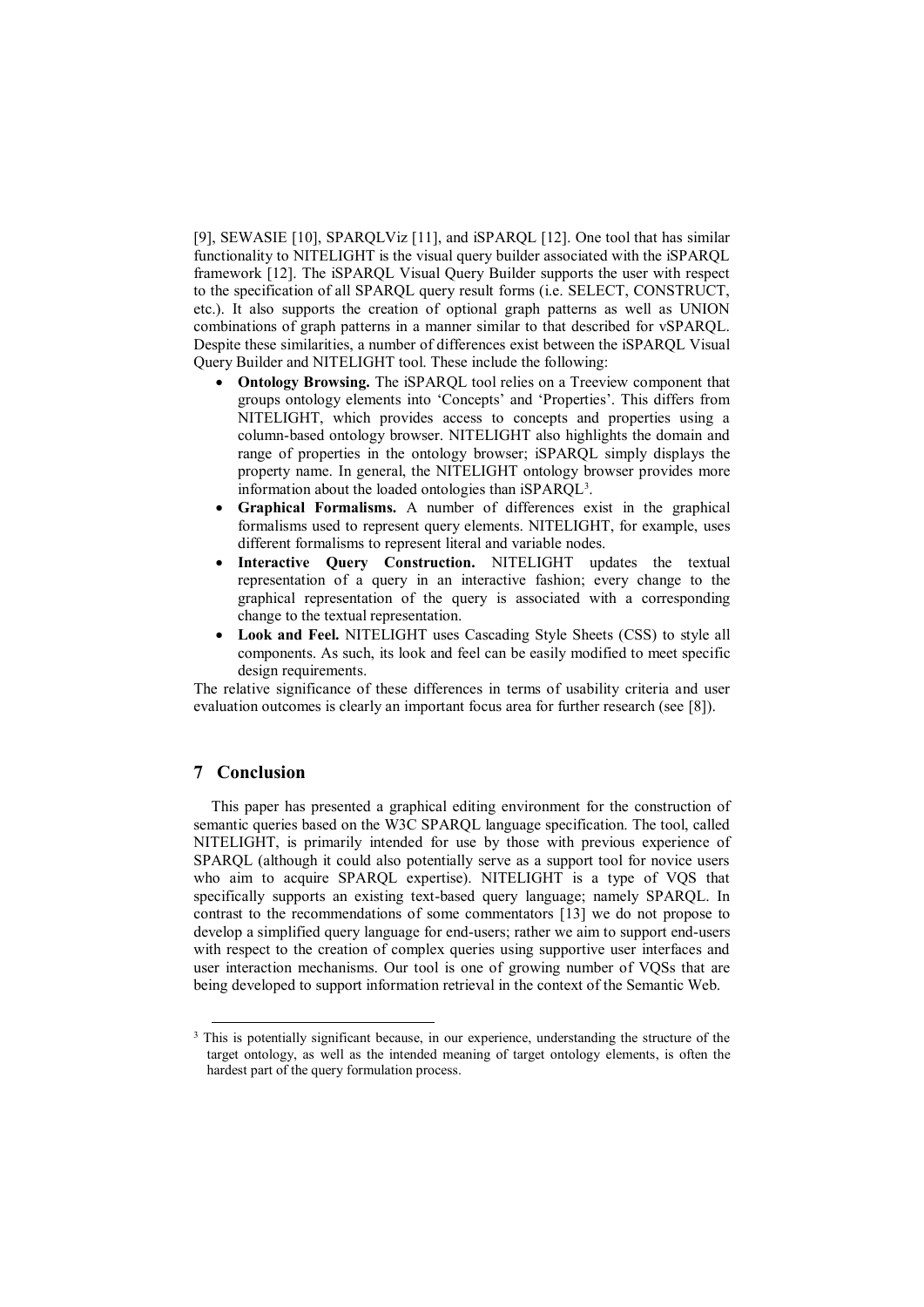[9], SEWASIE [10], SPARQLViz [11], and iSPARQL [12]. One tool that has similar functionality to NITELIGHT is the visual query builder associated with the iSPARQL framework [12]. The iSPARQL Visual Query Builder supports the user with respect to the specification of all SPARQL query result forms (i.e. SELECT, CONSTRUCT, etc.). It also supports the creation of optional graph patterns as well as UNION combinations of graph patterns in a manner similar to that described for vSPARQL. Despite these similarities, a number of differences exist between the iSPARQL Visual Query Builder and NITELIGHT tool. These include the following:

- **Ontology Browsing.** The iSPARQL tool relies on a Treeview component that groups ontology elements into "Concepts" and "Properties". This differs from NITELIGHT, which provides access to concepts and properties using a column-based ontology browser. NITELIGHT also highlights the domain and range of properties in the ontology browser; iSPARQL simply displays the property name. In general, the NITELIGHT ontology browser provides more information about the loaded ontologies than iSPARQL<sup>3</sup>.
- **Graphical Formalisms.** A number of differences exist in the graphical formalisms used to represent query elements. NITELIGHT, for example, uses different formalisms to represent literal and variable nodes.
- **Interactive Query Construction.** NITELIGHT updates the textual representation of a query in an interactive fashion; every change to the graphical representation of the query is associated with a corresponding change to the textual representation.
- **Look and Feel.** NITELIGHT uses Cascading Style Sheets (CSS) to style all components. As such, its look and feel can be easily modified to meet specific design requirements.

The relative significance of these differences in terms of usability criteria and user evaluation outcomes is clearly an important focus area for further research (see [8]).

# **7 Conclusion**

 $\overline{a}$ 

This paper has presented a graphical editing environment for the construction of semantic queries based on the W3C SPARQL language specification. The tool, called NITELIGHT, is primarily intended for use by those with previous experience of SPARQL (although it could also potentially serve as a support tool for novice users who aim to acquire SPARQL expertise). NITELIGHT is a type of VQS that specifically supports an existing text-based query language; namely SPARQL. In contrast to the recommendations of some commentators [13] we do not propose to develop a simplified query language for end-users; rather we aim to support end-users with respect to the creation of complex queries using supportive user interfaces and user interaction mechanisms. Our tool is one of growing number of VQSs that are being developed to support information retrieval in the context of the Semantic Web.

<sup>&</sup>lt;sup>3</sup> This is potentially significant because, in our experience, understanding the structure of the target ontology, as well as the intended meaning of target ontology elements, is often the hardest part of the query formulation process.